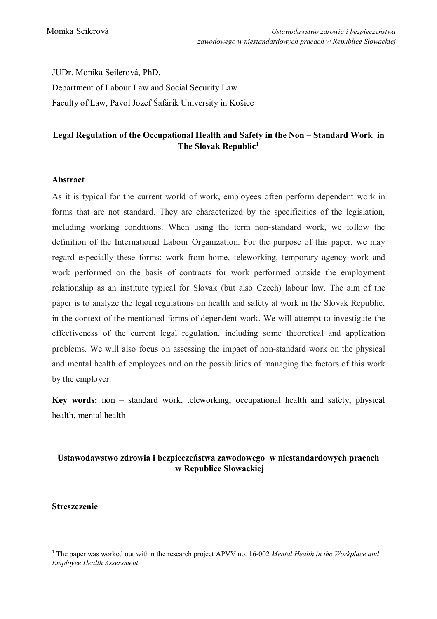JUDr. Monika Seilerová, PhD. Department of Labour Law and Social Security Law Faculty of Law, Pavol Jozef Šafárik University in Košice

## **Legal Regulation of the Occupational Health and Safety in the Non – Standard Work in The Slovak Republic<sup>1</sup>**

#### **Abstract**

As it is typical for the current world of work, employees often perform dependent work in forms that are not standard. They are characterized by the specificities of the legislation, including working conditions. When using the term non-standard work, we follow the definition of the International Labour Organization. For the purpose of this paper, we may regard especially these forms: work from home, teleworking, temporary agency work and work performed on the basis of contracts for work performed outside the employment relationship as an institute typical for Slovak (but also Czech) labour law. The aim of the paper is to analyze the legal regulations on health and safety at work in the Slovak Republic, in the context of the mentioned forms of dependent work. We will attempt to investigate the effectiveness of the current legal regulation, including some theoretical and application problems. We will also focus on assessing the impact of non-standard work on the physical and mental health of employees and on the possibilities of managing the factors of this work by the employer.

**Key words:** non – standard work, teleworking, occupational health and safety, physical health, mental health

# **Ustawodawstwo zdrowia i bezpieczeństwa zawodowego w niestandardowych pracach w Republice Słowackiej**

#### **Streszczenie**

 $\overline{a}$ 

<sup>1</sup> The paper was worked out within the research project APVV no. 16-002 *Mental Health in the Workplace and Employee Health Assessment*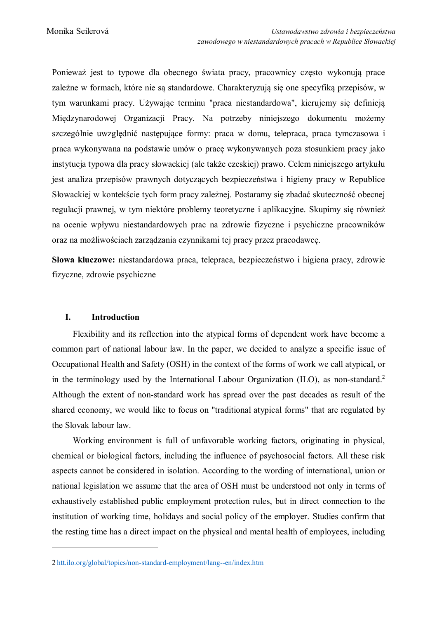Ponieważ jest to typowe dla obecnego świata pracy, pracownicy często wykonują prace zależne w formach, które nie są standardowe. Charakteryzują się one specyfiką przepisów, w tym warunkami pracy. Używając terminu "praca niestandardowa", kierujemy się definicją Międzynarodowej Organizacji Pracy. Na potrzeby niniejszego dokumentu możemy szczególnie uwzględnić następujące formy: praca w domu, telepraca, praca tymczasowa i praca wykonywana na podstawie umów o pracę wykonywanych poza stosunkiem pracy jako instytucja typowa dla pracy słowackiej (ale także czeskiej) prawo. Celem niniejszego artykułu jest analiza przepisów prawnych dotyczących bezpieczeństwa i higieny pracy w Republice Słowackiej w kontekście tych form pracy zależnej. Postaramy się zbadać skuteczność obecnej regulacji prawnej, w tym niektóre problemy teoretyczne i aplikacyjne. Skupimy się również na ocenie wpływu niestandardowych prac na zdrowie fizyczne i psychiczne pracowników oraz na możliwościach zarządzania czynnikami tej pracy przez pracodawcę.

**Słowa kluczowe:** niestandardowa praca, telepraca, bezpieczeństwo i higiena pracy, zdrowie fizyczne, zdrowie psychiczne

#### **I. Introduction**

l

Flexibility and its reflection into the atypical forms of dependent work have become a common part of national labour law. In the paper, we decided to analyze a specific issue of Occupational Health and Safety (OSH) in the context of the forms of work we call atypical, or in the terminology used by the International Labour Organization (ILO), as non-standard.<sup>2</sup> Although the extent of non-standard work has spread over the past decades as result of the shared economy, we would like to focus on "traditional atypical forms" that are regulated by the Slovak labour law.

Working environment is full of unfavorable working factors, originating in physical, chemical or biological factors, including the influence of psychosocial factors. All these risk aspects cannot be considered in isolation. According to the wording of international, union or national legislation we assume that the area of OSH must be understood not only in terms of exhaustively established public employment protection rules, but in direct connection to the institution of working time, holidays and social policy of the employer. Studies confirm that the resting time has a direct impact on the physical and mental health of employees, including

<sup>2</sup> htt.ilo.org/global/topics/non-standard-employment/lang--en/index.htm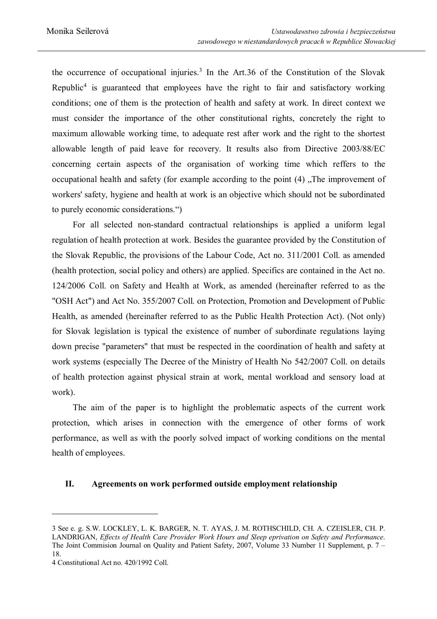the occurrence of occupational injuries.<sup>3</sup> In the Art.36 of the Constitution of the Slovak Republic<sup>4</sup> is guaranteed that employees have the right to fair and satisfactory working conditions; one of them is the protection of health and safety at work. In direct context we must consider the importance of the other constitutional rights, concretely the right to maximum allowable working time, to adequate rest after work and the right to the shortest allowable length of paid leave for recovery. It results also from Directive 2003/88/EC concerning certain aspects of the organisation of working time which reffers to the occupational health and safety (for example according to the point  $(4)$ ). The improvement of workers' safety, hygiene and health at work is an objective which should not be subordinated to purely economic considerations.")

 For all selected non-standard contractual relationships is applied a uniform legal regulation of health protection at work. Besides the guarantee provided by the Constitution of the Slovak Republic, the provisions of the Labour Code, Act no. 311/2001 Coll. as amended (health protection, social policy and others) are applied. Specifics are contained in the Act no. 124/2006 Coll. on Safety and Health at Work, as amended (hereinafter referred to as the "OSH Act") and Act No. 355/2007 Coll. on Protection, Promotion and Development of Public Health, as amended (hereinafter referred to as the Public Health Protection Act). (Not only) for Slovak legislation is typical the existence of number of subordinate regulations laying down precise "parameters" that must be respected in the coordination of health and safety at work systems (especially The Decree of the Ministry of Health No 542/2007 Coll. on details of health protection against physical strain at work, mental workload and sensory load at work).

 The aim of the paper is to highlight the problematic aspects of the current work protection, which arises in connection with the emergence of other forms of work performance, as well as with the poorly solved impact of working conditions on the mental health of employees.

#### **II. Agreements on work performed outside employment relationship**

 $\overline{a}$ 

<sup>3</sup> See e. g. S.W. LOCKLEY, L. K. BARGER, N. T. AYAS, J. M. ROTHSCHILD, CH. A. CZEISLER, CH. P. LANDRIGAN, *Effects of Health Care Provider Work Hours and Sleep eprivation on Safety and Performance*. The Joint Commision Journal on Quality and Patient Safety, 2007, Volume 33 Number 11 Supplement, p. 7 – 18.

<sup>4</sup> Constitutional Act no. 420/1992 Coll.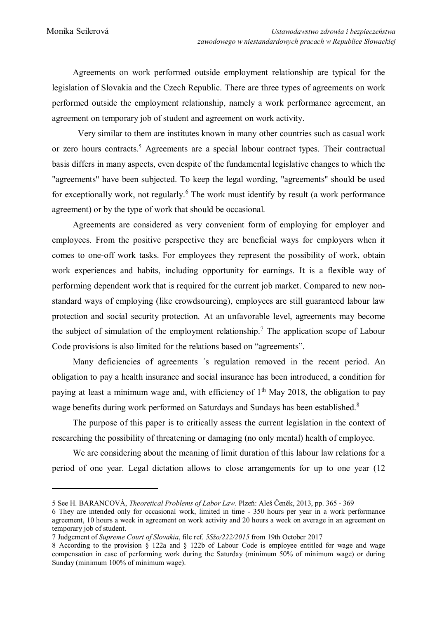Agreements on work performed outside employment relationship are typical for the legislation of Slovakia and the Czech Republic. There are three types of agreements on work performed outside the employment relationship, namely a work performance agreement, an agreement on temporary job of student and agreement on work activity.

Very similar to them are institutes known in many other countries such as casual work or zero hours contracts.<sup>5</sup> Agreements are a special labour contract types. Their contractual basis differs in many aspects, even despite of the fundamental legislative changes to which the "agreements" have been subjected. To keep the legal wording, "agreements" should be used for exceptionally work, not regularly.<sup>6</sup> The work must identify by result (a work performance agreement) or by the type of work that should be occasional.

 Agreements are considered as very convenient form of employing for employer and employees. From the positive perspective they are beneficial ways for employers when it comes to one-off work tasks. For employees they represent the possibility of work, obtain work experiences and habits, including opportunity for earnings. It is a flexible way of performing dependent work that is required for the current job market. Compared to new nonstandard ways of employing (like crowdsourcing), employees are still guaranteed labour law protection and social security protection. At an unfavorable level, agreements may become the subject of simulation of the employment relationship.<sup>7</sup> The application scope of Labour Code provisions is also limited for the relations based on "agreements".

Many deficiencies of agreements ´s regulation removed in the recent period. An obligation to pay a health insurance and social insurance has been introduced, a condition for paying at least a minimum wage and, with efficiency of  $1<sup>th</sup>$  May 2018, the obligation to pay wage benefits during work performed on Saturdays and Sundays has been established.<sup>8</sup>

The purpose of this paper is to critically assess the current legislation in the context of researching the possibility of threatening or damaging (no only mental) health of employee.

We are considering about the meaning of limit duration of this labour law relations for a period of one year. Legal dictation allows to close arrangements for up to one year (12

<sup>5</sup> See H. BARANCOVÁ, *Theoretical Problems of Labor Law*. Plzeň: Aleš Čeněk, 2013, pp. 365 - 369

<sup>6</sup> They are intended only for occasional work, limited in time - 350 hours per year in a work performance agreement, 10 hours a week in agreement on work activity and 20 hours a week on average in an agreement on temporary job of student.

<sup>7</sup> Judgement of *Supreme Court of Slovakia*, file ref. *5Sžo/222/2015* from 19th October 2017

<sup>8</sup> According to the provision § 122a and § 122b of Labour Code is employee entitled for wage and wage compensation in case of performing work during the Saturday (minimum 50% of minimum wage) or during Sunday (minimum 100% of minimum wage).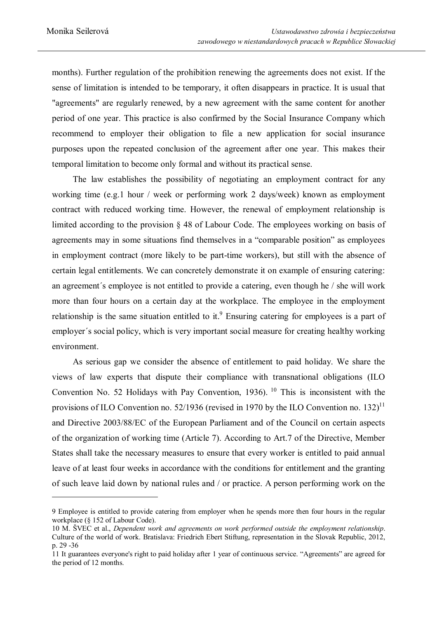months). Further regulation of the prohibition renewing the agreements does not exist. If the sense of limitation is intended to be temporary, it often disappears in practice. It is usual that "agreements" are regularly renewed, by a new agreement with the same content for another period of one year. This practice is also confirmed by the Social Insurance Company which recommend to employer their obligation to file a new application for social insurance purposes upon the repeated conclusion of the agreement after one year. This makes their temporal limitation to become only formal and without its practical sense.

The law establishes the possibility of negotiating an employment contract for any working time (e.g.1 hour / week or performing work 2 days/week) known as employment contract with reduced working time. However, the renewal of employment relationship is limited according to the provision § 48 of Labour Code. The employees working on basis of agreements may in some situations find themselves in a "comparable position" as employees in employment contract (more likely to be part-time workers), but still with the absence of certain legal entitlements. We can concretely demonstrate it on example of ensuring catering: an agreement´s employee is not entitled to provide a catering, even though he / she will work more than four hours on a certain day at the workplace. The employee in the employment relationship is the same situation entitled to it.<sup>9</sup> Ensuring catering for employees is a part of employer´s social policy, which is very important social measure for creating healthy working environment.

 As serious gap we consider the absence of entitlement to paid holiday. We share the views of law experts that dispute their compliance with transnational obligations (ILO Convention No. 52 Holidays with Pay Convention, 1936).<sup>10</sup> This is inconsistent with the provisions of ILO Convention no. 52/1936 (revised in 1970 by the ILO Convention no. 132)<sup>11</sup> and Directive 2003/88/EC of the European Parliament and of the Council on certain aspects of the organization of working time (Article 7). According to Art.7 of the Directive, Member States shall take the necessary measures to ensure that every worker is entitled to paid annual leave of at least four weeks in accordance with the conditions for entitlement and the granting of such leave laid down by national rules and / or practice. A person performing work on the

<sup>9</sup> Employee is entitled to provide catering from employer when he spends more then four hours in the regular workplace (§ 152 of Labour Code).

<sup>10</sup> M. ŠVEC et al., *Dependent work and agreements on work performed outside the employment relationship*. Culture of the world of work. Bratislava: Friedrich Ebert Stiftung, representation in the Slovak Republic, 2012, p. 29 -36

<sup>11</sup> It guarantees everyone's right to paid holiday after 1 year of continuous service. "Agreements" are agreed for the period of 12 months.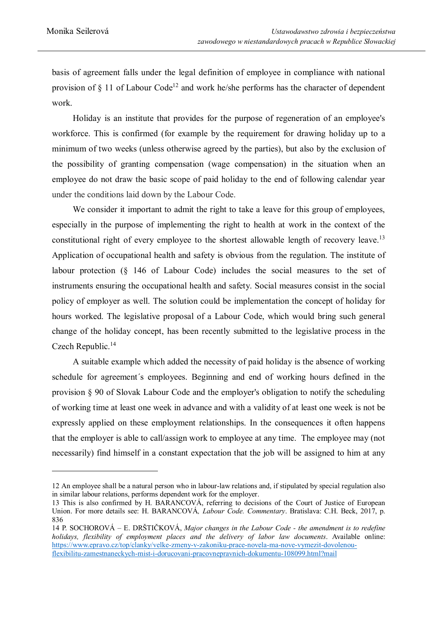basis of agreement falls under the legal definition of employee in compliance with national provision of  $\S$  11 of Labour Code<sup>12</sup> and work he/she performs has the character of dependent work.

 Holiday is an institute that provides for the purpose of regeneration of an employee's workforce. This is confirmed (for example by the requirement for drawing holiday up to a minimum of two weeks (unless otherwise agreed by the parties), but also by the exclusion of the possibility of granting compensation (wage compensation) in the situation when an employee do not draw the basic scope of paid holiday to the end of following calendar year under the conditions laid down by the Labour Code.

We consider it important to admit the right to take a leave for this group of employees, especially in the purpose of implementing the right to health at work in the context of the constitutional right of every employee to the shortest allowable length of recovery leave.<sup>13</sup> Application of occupational health and safety is obvious from the regulation. The institute of labour protection (§ 146 of Labour Code) includes the social measures to the set of instruments ensuring the occupational health and safety. Social measures consist in the social policy of employer as well. The solution could be implementation the concept of holiday for hours worked. The legislative proposal of a Labour Code, which would bring such general change of the holiday concept, has been recently submitted to the legislative process in the Czech Republic.<sup>14</sup>

A suitable example which added the necessity of paid holiday is the absence of working schedule for agreement´s employees. Beginning and end of working hours defined in the provision § 90 of Slovak Labour Code and the employer's obligation to notify the scheduling of working time at least one week in advance and with a validity of at least one week is not be expressly applied on these employment relationships. In the consequences it often happens that the employer is able to call/assign work to employee at any time. The employee may (not necessarily) find himself in a constant expectation that the job will be assigned to him at any

<sup>12</sup> An employee shall be a natural person who in labour-law relations and, if stipulated by special regulation also in similar labour relations, performs dependent work for the employer.

<sup>13</sup> This is also confirmed by H. BARANCOVÁ, referring to decisions of the Court of Justice of European Union. For more details see: H. BARANCOVÁ*, Labour Code. Commentary*. Bratislava: C.H. Beck, 2017, p. 836

<sup>14</sup> P. SOCHOROVÁ – E. DRŠTIČKOVÁ, *Major changes in the Labour Code - the amendment is to redefine holidays, flexibility of employment places and the delivery of labor law documents*. Available online: https://www.epravo.cz/top/clanky/velke-zmeny-v-zakoniku-prace-novela-ma-nove-vymezit-dovolenouflexibilitu-zamestnaneckych-mist-i-dorucovani-pracovnepravnich-dokumentu-108099.html?mail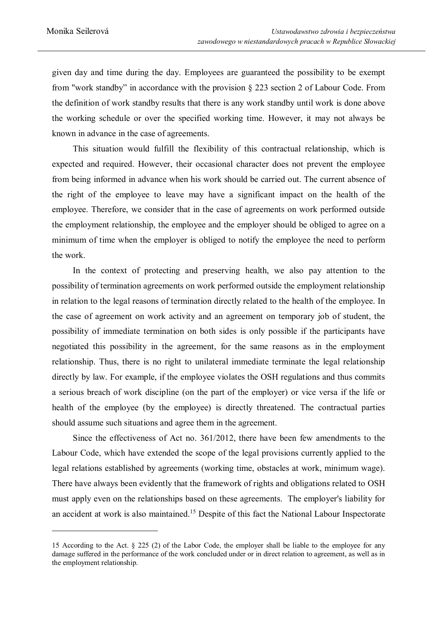given day and time during the day. Employees are guaranteed the possibility to be exempt from "work standby" in accordance with the provision § 223 section 2 of Labour Code. From the definition of work standby results that there is any work standby until work is done above the working schedule or over the specified working time. However, it may not always be known in advance in the case of agreements.

This situation would fulfill the flexibility of this contractual relationship, which is expected and required. However, their occasional character does not prevent the employee from being informed in advance when his work should be carried out. The current absence of the right of the employee to leave may have a significant impact on the health of the employee. Therefore, we consider that in the case of agreements on work performed outside the employment relationship, the employee and the employer should be obliged to agree on a minimum of time when the employer is obliged to notify the employee the need to perform the work.

 In the context of protecting and preserving health, we also pay attention to the possibility of termination agreements on work performed outside the employment relationship in relation to the legal reasons of termination directly related to the health of the employee. In the case of agreement on work activity and an agreement on temporary job of student, the possibility of immediate termination on both sides is only possible if the participants have negotiated this possibility in the agreement, for the same reasons as in the employment relationship. Thus, there is no right to unilateral immediate terminate the legal relationship directly by law. For example, if the employee violates the OSH regulations and thus commits a serious breach of work discipline (on the part of the employer) or vice versa if the life or health of the employee (by the employee) is directly threatened. The contractual parties should assume such situations and agree them in the agreement.

Since the effectiveness of Act no. 361/2012, there have been few amendments to the Labour Code, which have extended the scope of the legal provisions currently applied to the legal relations established by agreements (working time, obstacles at work, minimum wage). There have always been evidently that the framework of rights and obligations related to OSH must apply even on the relationships based on these agreements. The employer's liability for an accident at work is also maintained.<sup>15</sup> Despite of this fact the National Labour Inspectorate

<sup>15</sup> According to the Act. § 225 (2) of the Labor Code, the employer shall be liable to the employee for any damage suffered in the performance of the work concluded under or in direct relation to agreement, as well as in the employment relationship.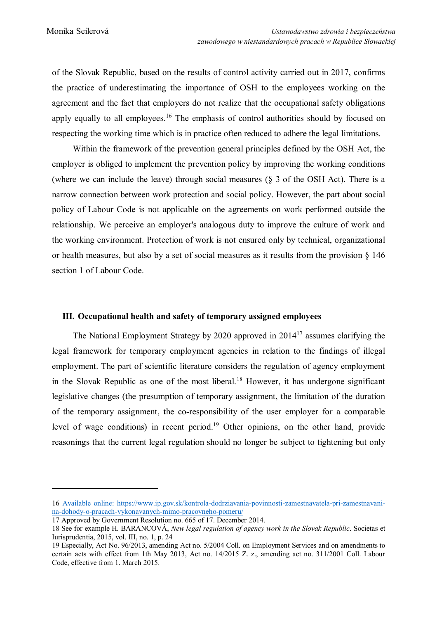of the Slovak Republic, based on the results of control activity carried out in 2017, confirms the practice of underestimating the importance of OSH to the employees working on the agreement and the fact that employers do not realize that the occupational safety obligations apply equally to all employees.<sup>16</sup> The emphasis of control authorities should by focused on respecting the working time which is in practice often reduced to adhere the legal limitations.

Within the framework of the prevention general principles defined by the OSH Act, the employer is obliged to implement the prevention policy by improving the working conditions (where we can include the leave) through social measures (§ 3 of the OSH Act). There is a narrow connection between work protection and social policy. However, the part about social policy of Labour Code is not applicable on the agreements on work performed outside the relationship. We perceive an employer's analogous duty to improve the culture of work and the working environment. Protection of work is not ensured only by technical, organizational or health measures, but also by a set of social measures as it results from the provision § 146 section 1 of Labour Code.

#### **III. Occupational health and safety of temporary assigned employees**

The National Employment Strategy by 2020 approved in  $2014<sup>17</sup>$  assumes clarifying the legal framework for temporary employment agencies in relation to the findings of illegal employment. The part of scientific literature considers the regulation of agency employment in the Slovak Republic as one of the most liberal.<sup>18</sup> However, it has undergone significant legislative changes (the presumption of temporary assignment, the limitation of the duration of the temporary assignment, the co-responsibility of the user employer for a comparable level of wage conditions) in recent period.<sup>19</sup> Other opinions, on the other hand, provide reasonings that the current legal regulation should no longer be subject to tightening but only

l

<sup>16</sup> Available online: https://www.ip.gov.sk/kontrola-dodrziavania-povinnosti-zamestnavatela-pri-zamestnavanina-dohody-o-pracach-vykonavanych-mimo-pracovneho-pomeru/

<sup>17</sup> Approved by Government Resolution no. 665 of 17. December 2014.

<sup>18</sup> See for example H. BARANCOVÁ, *New legal regulation of agency work in the Slovak Republic*. Societas et Iurisprudentia, 2015, vol. III, no. 1, p. 24

<sup>19</sup> Especially, Act No. 96/2013, amending Act no. 5/2004 Coll. on Employment Services and on amendments to certain acts with effect from 1th May 2013, Act no. 14/2015 Z. z., amending act no. 311/2001 Coll. Labour Code, effective from 1. March 2015.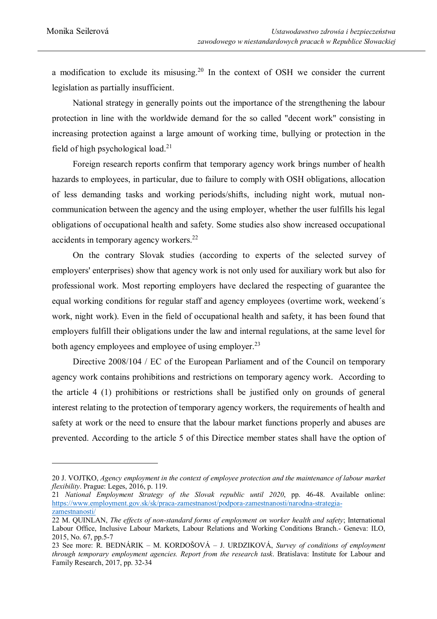a modification to exclude its misusing.<sup>20</sup> In the context of OSH we consider the current legislation as partially insufficient.

National strategy in generally points out the importance of the strengthening the labour protection in line with the worldwide demand for the so called "decent work" consisting in increasing protection against a large amount of working time, bullying or protection in the field of high psychological load.<sup>21</sup>

Foreign research reports confirm that temporary agency work brings number of health hazards to employees, in particular, due to failure to comply with OSH obligations, allocation of less demanding tasks and working periods/shifts, including night work, mutual noncommunication between the agency and the using employer, whether the user fulfills his legal obligations of occupational health and safety. Some studies also show increased occupational accidents in temporary agency workers.<sup>22</sup>

On the contrary Slovak studies (according to experts of the selected survey of employers' enterprises) show that agency work is not only used for auxiliary work but also for professional work. Most reporting employers have declared the respecting of guarantee the equal working conditions for regular staff and agency employees (overtime work, weekend´s work, night work). Even in the field of occupational health and safety, it has been found that employers fulfill their obligations under the law and internal regulations, at the same level for both agency employees and employee of using employer.<sup>23</sup>

Directive 2008/104 / EC of the European Parliament and of the Council on temporary agency work contains prohibitions and restrictions on temporary agency work. According to the article 4 (1) prohibitions or restrictions shall be justified only on grounds of general interest relating to the protection of temporary agency workers, the requirements of health and safety at work or the need to ensure that the labour market functions properly and abuses are prevented. According to the article 5 of this Directice member states shall have the option of

<sup>20</sup> J. VOJTKO, *Agency employment in the context of employee protection and the maintenance of labour market flexibility*. Prague: Leges, 2016, p. 119.

<sup>21</sup> *National Employment Strategy of the Slovak republic until 2020*, pp. 46-48. Available online: https://www.employment.gov.sk/sk/praca-zamestnanost/podpora-zamestnanosti/narodna-strategiazamestnanosti/

<sup>22</sup> M. QUINLAN, *The effects of non-standard forms of employment on worker health and safety*; International Labour Office, Inclusive Labour Markets, Labour Relations and Working Conditions Branch.- Geneva: ILO, 2015, No. 67, pp.5-7

<sup>23</sup> See more: R. BEDNÁRIK – M. KORDOŠOVÁ – J. URDZIKOVÁ, *Survey of conditions of employment through temporary employment agencies. Report from the research task*. Bratislava: Institute for Labour and Family Research, 2017, pp. 32-34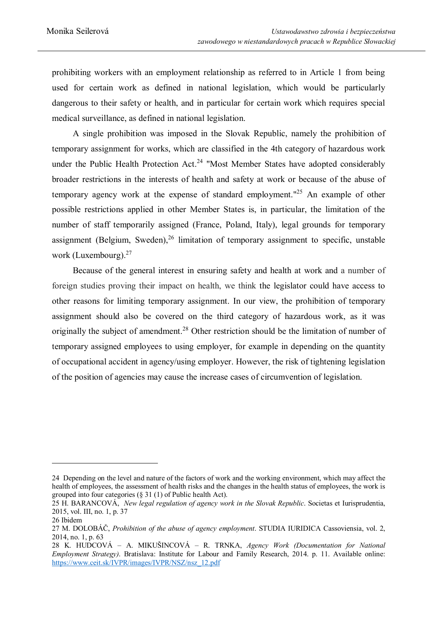prohibiting workers with an employment relationship as referred to in Article 1 from being used for certain work as defined in national legislation, which would be particularly dangerous to their safety or health, and in particular for certain work which requires special medical surveillance, as defined in national legislation.

A single prohibition was imposed in the Slovak Republic, namely the prohibition of temporary assignment for works, which are classified in the 4th category of hazardous work under the Public Health Protection Act.<sup>24</sup> "Most Member States have adopted considerably broader restrictions in the interests of health and safety at work or because of the abuse of temporary agency work at the expense of standard employment."<sup>25</sup> An example of other possible restrictions applied in other Member States is, in particular, the limitation of the number of staff temporarily assigned (France, Poland, Italy), legal grounds for temporary assignment (Belgium, Sweden),<sup>26</sup> limitation of temporary assignment to specific, unstable work (Luxembourg).<sup>27</sup>

Because of the general interest in ensuring safety and health at work and a number of foreign studies proving their impact on health, we think the legislator could have access to other reasons for limiting temporary assignment. In our view, the prohibition of temporary assignment should also be covered on the third category of hazardous work, as it was originally the subject of amendment.<sup>28</sup> Other restriction should be the limitation of number of temporary assigned employees to using employer, for example in depending on the quantity of occupational accident in agency/using employer. However, the risk of tightening legislation of the position of agencies may cause the increase cases of circumvention of legislation.

 $\overline{a}$ 

<sup>24</sup> Depending on the level and nature of the factors of work and the working environment, which may affect the health of employees, the assessment of health risks and the changes in the health status of employees, the work is grouped into four categories (§ 31 (1) of Public health Act).

<sup>25</sup> H. BARANCOVÁ, *New legal regulation of agency work in the Slovak Republic*. Societas et Iurisprudentia, 2015, vol. III, no. 1, p. 37

<sup>26</sup> Ibidem

<sup>27</sup> M. DOLOBÁČ, *Prohibition of the abuse of agency employment*. STUDIA IURIDICA Cassoviensia, vol. 2, 2014, no. 1, p. 63

<sup>28</sup> K. HUDCOVÁ – A. MIKUŠINCOVÁ – R. TRNKA, *Agency Work (Documentation for National Employment Strategy)*. Bratislava: Institute for Labour and Family Research, 2014. p. 11. Available online: https://www.ceit.sk/IVPR/images/IVPR/NSZ/nsz\_12.pdf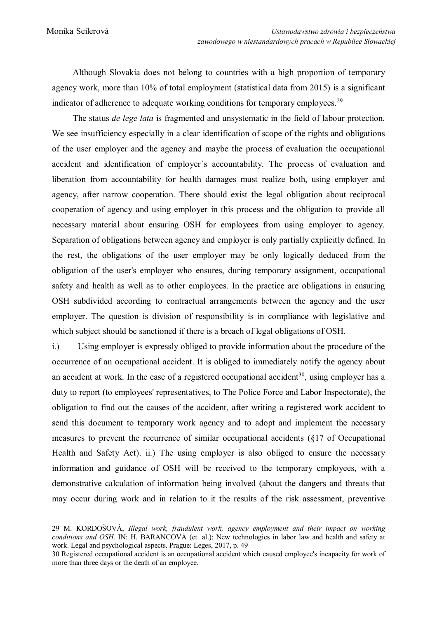Although Slovakia does not belong to countries with a high proportion of temporary agency work, more than 10% of total employment (statistical data from 2015) is a significant indicator of adherence to adequate working conditions for temporary employees.<sup>29</sup>

The status *de lege lata* is fragmented and unsystematic in the field of labour protection. We see insufficiency especially in a clear identification of scope of the rights and obligations of the user employer and the agency and maybe the process of evaluation the occupational accident and identification of employer´s accountability. The process of evaluation and liberation from accountability for health damages must realize both, using employer and agency, after narrow cooperation. There should exist the legal obligation about reciprocal cooperation of agency and using employer in this process and the obligation to provide all necessary material about ensuring OSH for employees from using employer to agency. Separation of obligations between agency and employer is only partially explicitly defined. In the rest, the obligations of the user employer may be only logically deduced from the obligation of the user's employer who ensures, during temporary assignment, occupational safety and health as well as to other employees. In the practice are obligations in ensuring OSH subdivided according to contractual arrangements between the agency and the user employer. The question is division of responsibility is in compliance with legislative and which subject should be sanctioned if there is a breach of legal obligations of OSH.

i.) Using employer is expressly obliged to provide information about the procedure of the occurrence of an occupational accident. It is obliged to immediately notify the agency about an accident at work. In the case of a registered occupational accident<sup>30</sup>, using employer has a duty to report (to employees' representatives, to The Police Force and Labor Inspectorate), the obligation to find out the causes of the accident, after writing a registered work accident to send this document to temporary work agency and to adopt and implement the necessary measures to prevent the recurrence of similar occupational accidents (§17 of Occupational Health and Safety Act). ii.) The using employer is also obliged to ensure the necessary information and guidance of OSH will be received to the temporary employees, with a demonstrative calculation of information being involved (about the dangers and threats that may occur during work and in relation to it the results of the risk assessment, preventive

<sup>29</sup> M. KORDOŠOVÁ, *Illegal work, fraudulent work, agency employment and their impact on working conditions and OSH*. IN: H. BARANCOVÁ (et. al.): New technologies in labor law and health and safety at work. Legal and psychological aspects. Prague: Leges, 2017, p. 49

<sup>30</sup> Registered occupational accident is an occupational accident which caused employee's incapacity for work of more than three days or the death of an employee.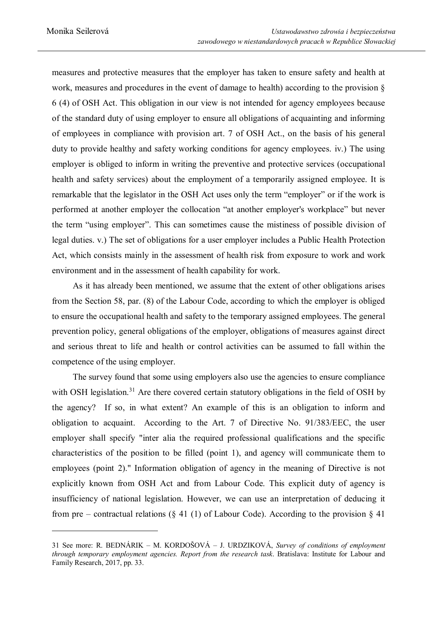measures and protective measures that the employer has taken to ensure safety and health at work, measures and procedures in the event of damage to health) according to the provision § 6 (4) of OSH Act. This obligation in our view is not intended for agency employees because of the standard duty of using employer to ensure all obligations of acquainting and informing of employees in compliance with provision art. 7 of OSH Act., on the basis of his general duty to provide healthy and safety working conditions for agency employees. iv.) The using employer is obliged to inform in writing the preventive and protective services (occupational health and safety services) about the employment of a temporarily assigned employee. It is remarkable that the legislator in the OSH Act uses only the term "employer" or if the work is performed at another employer the collocation "at another employer's workplace" but never the term "using employer". This can sometimes cause the mistiness of possible division of legal duties. v.) The set of obligations for a user employer includes a Public Health Protection Act, which consists mainly in the assessment of health risk from exposure to work and work environment and in the assessment of health capability for work.

As it has already been mentioned, we assume that the extent of other obligations arises from the Section 58, par. (8) of the Labour Code, according to which the employer is obliged to ensure the occupational health and safety to the temporary assigned employees. The general prevention policy, general obligations of the employer, obligations of measures against direct and serious threat to life and health or control activities can be assumed to fall within the competence of the using employer.

The survey found that some using employers also use the agencies to ensure compliance with OSH legislation.<sup>31</sup> Are there covered certain statutory obligations in the field of OSH by the agency? If so, in what extent? An example of this is an obligation to inform and obligation to acquaint. According to the Art. 7 of Directive No. 91/383/EEC, the user employer shall specify "inter alia the required professional qualifications and the specific characteristics of the position to be filled (point 1), and agency will communicate them to employees (point 2)." Information obligation of agency in the meaning of Directive is not explicitly known from OSH Act and from Labour Code. This explicit duty of agency is insufficiency of national legislation. However, we can use an interpretation of deducing it from pre – contractual relations (§ 41 (1) of Labour Code). According to the provision § 41

<sup>31</sup> See more: R. BEDNÁRIK – M. KORDOŠOVÁ – J. URDZIKOVÁ, *Survey of conditions of employment through temporary employment agencies. Report from the research task*. Bratislava: Institute for Labour and Family Research, 2017, pp. 33.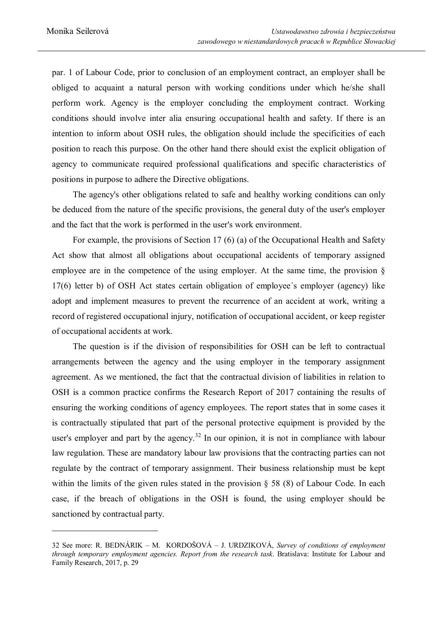par. 1 of Labour Code, prior to conclusion of an employment contract, an employer shall be obliged to acquaint a natural person with working conditions under which he/she shall perform work. Agency is the employer concluding the employment contract. Working conditions should involve inter alia ensuring occupational health and safety. If there is an intention to inform about OSH rules, the obligation should include the specificities of each position to reach this purpose. On the other hand there should exist the explicit obligation of agency to communicate required professional qualifications and specific characteristics of positions in purpose to adhere the Directive obligations.

The agency's other obligations related to safe and healthy working conditions can only be deduced from the nature of the specific provisions, the general duty of the user's employer and the fact that the work is performed in the user's work environment.

For example, the provisions of Section 17 (6) (a) of the Occupational Health and Safety Act show that almost all obligations about occupational accidents of temporary assigned employee are in the competence of the using employer. At the same time, the provision  $\delta$ 17(6) letter b) of OSH Act states certain obligation of employee´s employer (agency) like adopt and implement measures to prevent the recurrence of an accident at work, writing a record of registered occupational injury, notification of occupational accident, or keep register of occupational accidents at work.

The question is if the division of responsibilities for OSH can be left to contractual arrangements between the agency and the using employer in the temporary assignment agreement. As we mentioned, the fact that the contractual division of liabilities in relation to OSH is a common practice confirms the Research Report of 2017 containing the results of ensuring the working conditions of agency employees. The report states that in some cases it is contractually stipulated that part of the personal protective equipment is provided by the user's employer and part by the agency.<sup>32</sup> In our opinion, it is not in compliance with labour law regulation. These are mandatory labour law provisions that the contracting parties can not regulate by the contract of temporary assignment. Their business relationship must be kept within the limits of the given rules stated in the provision  $\S$  58 (8) of Labour Code. In each case, if the breach of obligations in the OSH is found, the using employer should be sanctioned by contractual party.

<sup>32</sup> See more: R. BEDNÁRIK – M. KORDOŠOVÁ – J. URDZIKOVÁ, *Survey of conditions of employment through temporary employment agencies. Report from the research task*. Bratislava: Institute for Labour and Family Research, 2017, p. 29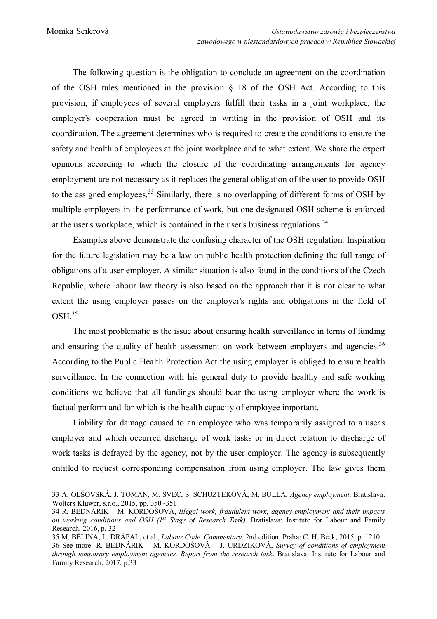The following question is the obligation to conclude an agreement on the coordination of the OSH rules mentioned in the provision § 18 of the OSH Act. According to this provision, if employees of several employers fulfill their tasks in a joint workplace, the employer's cooperation must be agreed in writing in the provision of OSH and its coordination. The agreement determines who is required to create the conditions to ensure the safety and health of employees at the joint workplace and to what extent. We share the expert opinions according to which the closure of the coordinating arrangements for agency employment are not necessary as it replaces the general obligation of the user to provide OSH to the assigned employees.<sup>33</sup> Similarly, there is no overlapping of different forms of OSH by multiple employers in the performance of work, but one designated OSH scheme is enforced at the user's workplace, which is contained in the user's business regulations.<sup>34</sup>

Examples above demonstrate the confusing character of the OSH regulation. Inspiration for the future legislation may be a law on public health protection defining the full range of obligations of a user employer. A similar situation is also found in the conditions of the Czech Republic, where labour law theory is also based on the approach that it is not clear to what extent the using employer passes on the employer's rights and obligations in the field of OSH.<sup>35</sup>

The most problematic is the issue about ensuring health surveillance in terms of funding and ensuring the quality of health assessment on work between employers and agencies.<sup>36</sup> According to the Public Health Protection Act the using employer is obliged to ensure health surveillance. In the connection with his general duty to provide healthy and safe working conditions we believe that all fundings should bear the using employer where the work is factual perform and for which is the health capacity of employee important.

Liability for damage caused to an employee who was temporarily assigned to a user's employer and which occurred discharge of work tasks or in direct relation to discharge of work tasks is defrayed by the agency, not by the user employer. The agency is subsequently entitled to request corresponding compensation from using employer. The law gives them

<sup>33</sup> A. OLŠOVSKÁ, J. TOMAN, M. ŠVEC, S. SCHUZTEKOVÁ, M. BULLA, *Agency employment*. Bratislava: Wolters Kluwer, s.r.o., 2015, pp. 350 -351

<sup>34</sup> R. BEDNÁRIK – M. KORDOŠOVÁ, *Illegal work, fraudulent work, agency employment and their impacts on working conditions and OSH (1st Stage of Research Task)*. Bratislava: Institute for Labour and Family Research, 2016, p. 32

<sup>35</sup> M. BĚLINA, L. DRÁPAL, et al., *Labour Code. Commentary*. 2nd edition. Praha: C. H. Beck, 2015, p. 1210

<sup>36</sup> See more: R. BEDNÁRIK – M. KORDOŠOVÁ – J. URDZIKOVÁ, *Survey of conditions of employment through temporary employment agencies. Report from the research task*. Bratislava: Institute for Labour and Family Research, 2017, p.33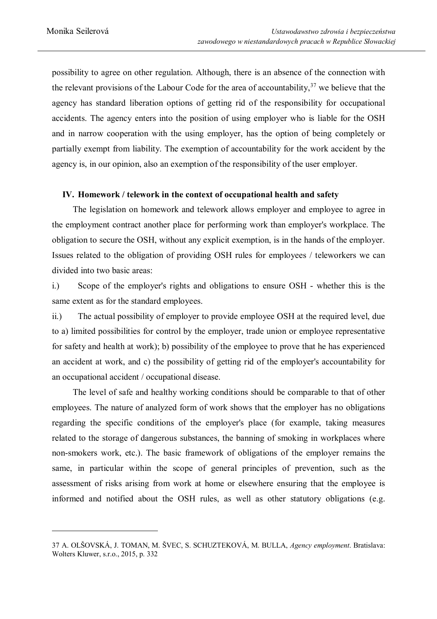possibility to agree on other regulation. Although, there is an absence of the connection with the relevant provisions of the Labour Code for the area of accountability,  $37$  we believe that the agency has standard liberation options of getting rid of the responsibility for occupational accidents. The agency enters into the position of using employer who is liable for the OSH and in narrow cooperation with the using employer, has the option of being completely or partially exempt from liability. The exemption of accountability for the work accident by the agency is, in our opinion, also an exemption of the responsibility of the user employer.

#### **IV. Homework / telework in the context of occupational health and safety**

The legislation on homework and telework allows employer and employee to agree in the employment contract another place for performing work than employer's workplace. The obligation to secure the OSH, without any explicit exemption, is in the hands of the employer. Issues related to the obligation of providing OSH rules for employees / teleworkers we can divided into two basic areas:

i.) Scope of the employer's rights and obligations to ensure OSH - whether this is the same extent as for the standard employees.

ii.) The actual possibility of employer to provide employee OSH at the required level, due to a) limited possibilities for control by the employer, trade union or employee representative for safety and health at work); b) possibility of the employee to prove that he has experienced an accident at work, and c) the possibility of getting rid of the employer's accountability for an occupational accident / occupational disease.

The level of safe and healthy working conditions should be comparable to that of other employees. The nature of analyzed form of work shows that the employer has no obligations regarding the specific conditions of the employer's place (for example, taking measures related to the storage of dangerous substances, the banning of smoking in workplaces where non-smokers work, etc.). The basic framework of obligations of the employer remains the same, in particular within the scope of general principles of prevention, such as the assessment of risks arising from work at home or elsewhere ensuring that the employee is informed and notified about the OSH rules, as well as other statutory obligations (e.g.

<sup>37</sup> A. OLŠOVSKÁ, J. TOMAN, M. ŠVEC, S. SCHUZTEKOVÁ, M. BULLA, *Agency employment*. Bratislava: Wolters Kluwer, s.r.o., 2015, p. 332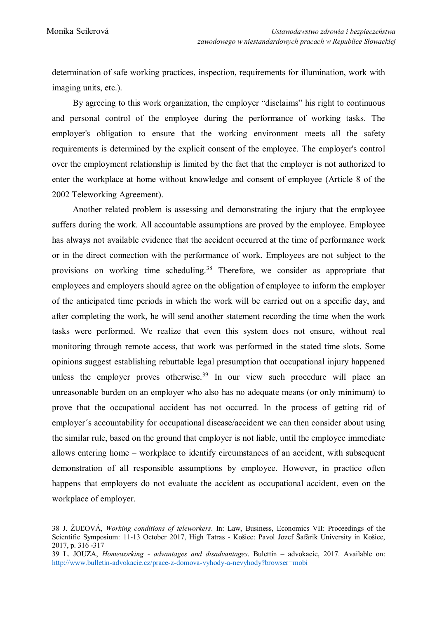determination of safe working practices, inspection, requirements for illumination, work with imaging units, etc.).

By agreeing to this work organization, the employer "disclaims" his right to continuous and personal control of the employee during the performance of working tasks. The employer's obligation to ensure that the working environment meets all the safety requirements is determined by the explicit consent of the employee. The employer's control over the employment relationship is limited by the fact that the employer is not authorized to enter the workplace at home without knowledge and consent of employee (Article 8 of the 2002 Teleworking Agreement).

Another related problem is assessing and demonstrating the injury that the employee suffers during the work. All accountable assumptions are proved by the employee. Employee has always not available evidence that the accident occurred at the time of performance work or in the direct connection with the performance of work. Employees are not subject to the provisions on working time scheduling.<sup>38</sup> Therefore, we consider as appropriate that employees and employers should agree on the obligation of employee to inform the employer of the anticipated time periods in which the work will be carried out on a specific day, and after completing the work, he will send another statement recording the time when the work tasks were performed. We realize that even this system does not ensure, without real monitoring through remote access, that work was performed in the stated time slots. Some opinions suggest establishing rebuttable legal presumption that occupational injury happened unless the employer proves otherwise.<sup>39</sup> In our view such procedure will place an unreasonable burden on an employer who also has no adequate means (or only minimum) to prove that the occupational accident has not occurred. In the process of getting rid of employer´s accountability for occupational disease/accident we can then consider about using the similar rule, based on the ground that employer is not liable, until the employee immediate allows entering home – workplace to identify circumstances of an accident, with subsequent demonstration of all responsible assumptions by employee. However, in practice often happens that employers do not evaluate the accident as occupational accident, even on the workplace of employer.

<sup>38</sup> J. ŽUĽOVÁ, *Working conditions of teleworkers*. In: Law, Business, Economics VII: Proceedings of the Scientific Symposium: 11-13 October 2017, High Tatras - Košice: Pavol Jozef Šafárik University in Košice, 2017, p. 316 -317

<sup>39</sup> L. JOUZA, *Homeworking - advantages and disadvantages*. Bulettin – advokacie, 2017. Available on: http://www.bulletin-advokacie.cz/prace-z-domova-vyhody-a-nevyhody?browser=mobi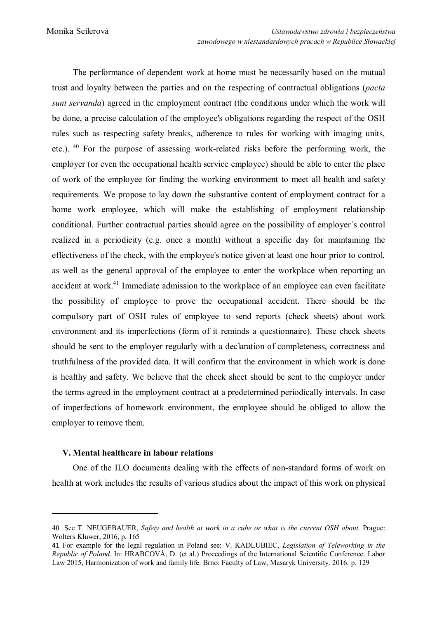The performance of dependent work at home must be necessarily based on the mutual trust and loyalty between the parties and on the respecting of contractual obligations (*pacta sunt servanda*) agreed in the employment contract (the conditions under which the work will be done, a precise calculation of the employee's obligations regarding the respect of the OSH rules such as respecting safety breaks, adherence to rules for working with imaging units, etc.).<sup>40</sup> For the purpose of assessing work-related risks before the performing work, the employer (or even the occupational health service employee) should be able to enter the place of work of the employee for finding the working environment to meet all health and safety requirements. We propose to lay down the substantive content of employment contract for a home work employee, which will make the establishing of employment relationship conditional. Further contractual parties should agree on the possibility of employer´s control realized in a periodicity (e.g. once a month) without a specific day for maintaining the effectiveness of the check, with the employee's notice given at least one hour prior to control, as well as the general approval of the employee to enter the workplace when reporting an accident at work.<sup>41</sup> Immediate admission to the workplace of an employee can even facilitate the possibility of employee to prove the occupational accident. There should be the compulsory part of OSH rules of employee to send reports (check sheets) about work environment and its imperfections (form of it reminds a questionnaire). These check sheets should be sent to the employer regularly with a declaration of completeness, correctness and truthfulness of the provided data. It will confirm that the environment in which work is done is healthy and safety. We believe that the check sheet should be sent to the employer under the terms agreed in the employment contract at a predetermined periodically intervals. In case of imperfections of homework environment, the employee should be obliged to allow the employer to remove them.

#### **V. Mental healthcare in labour relations**

 $\overline{a}$ 

 One of the ILO documents dealing with the effects of non-standard forms of work on health at work includes the results of various studies about the impact of this work on physical

<sup>40</sup> See T. NEUGEBAUER, *Safety and health at work in a cube or what is the current OSH about*. Prague: Wolters Kluwer, 2016, p. 165

<sup>41</sup> For example for the legal regulation in Poland see: V. KADLUBIEC, *Legislation of Teleworking in the Republic of Poland*. In: HRABCOVÁ, D. (et al.) Proceedings of the International Scientific Conference. Labor Law 2015, Harmonization of work and family life. Brno: Faculty of Law, Masaryk University. 2016, p. 129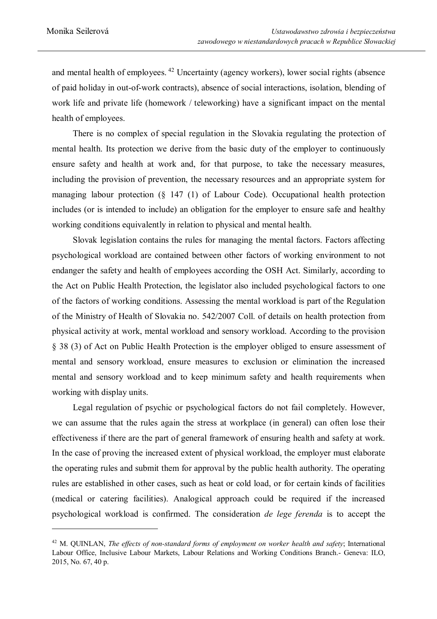and mental health of employees.  $42$  Uncertainty (agency workers), lower social rights (absence of paid holiday in out-of-work contracts), absence of social interactions, isolation, blending of work life and private life (homework / teleworking) have a significant impact on the mental health of employees.

 There is no complex of special regulation in the Slovakia regulating the protection of mental health. Its protection we derive from the basic duty of the employer to continuously ensure safety and health at work and, for that purpose, to take the necessary measures, including the provision of prevention, the necessary resources and an appropriate system for managing labour protection (§ 147 (1) of Labour Code). Occupational health protection includes (or is intended to include) an obligation for the employer to ensure safe and healthy working conditions equivalently in relation to physical and mental health.

 Slovak legislation contains the rules for managing the mental factors. Factors affecting psychological workload are contained between other factors of working environment to not endanger the safety and health of employees according the OSH Act. Similarly, according to the Act on Public Health Protection, the legislator also included psychological factors to one of the factors of working conditions. Assessing the mental workload is part of the Regulation of the Ministry of Health of Slovakia no. 542/2007 Coll. of details on health protection from physical activity at work, mental workload and sensory workload. According to the provision § 38 (3) of Act on Public Health Protection is the employer obliged to ensure assessment of mental and sensory workload, ensure measures to exclusion or elimination the increased mental and sensory workload and to keep minimum safety and health requirements when working with display units.

 Legal regulation of psychic or psychological factors do not fail completely. However, we can assume that the rules again the stress at workplace (in general) can often lose their effectiveness if there are the part of general framework of ensuring health and safety at work. In the case of proving the increased extent of physical workload, the employer must elaborate the operating rules and submit them for approval by the public health authority. The operating rules are established in other cases, such as heat or cold load, or for certain kinds of facilities (medical or catering facilities). Analogical approach could be required if the increased psychological workload is confirmed. The consideration *de lege ferenda* is to accept the

<sup>42</sup> M. QUINLAN, *The effects of non-standard forms of employment on worker health and safety*; International Labour Office, Inclusive Labour Markets, Labour Relations and Working Conditions Branch.- Geneva: ILO, 2015, No. 67, 40 p.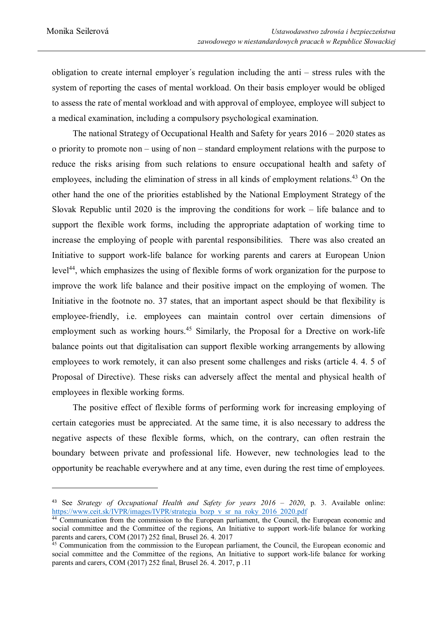obligation to create internal employer´s regulation including the anti – stress rules with the system of reporting the cases of mental workload. On their basis employer would be obliged to assess the rate of mental workload and with approval of employee, employee will subject to a medical examination, including a compulsory psychological examination.

The national Strategy of Occupational Health and Safety for years  $2016 - 2020$  states as o priority to promote non – using of non – standard employment relations with the purpose to reduce the risks arising from such relations to ensure occupational health and safety of employees, including the elimination of stress in all kinds of employment relations.<sup>43</sup> On the other hand the one of the priorities established by the National Employment Strategy of the Slovak Republic until 2020 is the improving the conditions for work – life balance and to support the flexible work forms, including the appropriate adaptation of working time to increase the employing of people with parental responsibilities. There was also created an Initiative to support work-life balance for working parents and carers at European Union level<sup>44</sup>, which emphasizes the using of flexible forms of work organization for the purpose to improve the work life balance and their positive impact on the employing of women. The Initiative in the footnote no. 37 states, that an important aspect should be that flexibility is employee-friendly, i.e. employees can maintain control over certain dimensions of employment such as working hours.<sup>45</sup> Similarly, the Proposal for a Drective on work-life balance points out that digitalisation can support flexible working arrangements by allowing employees to work remotely, it can also present some challenges and risks (article 4. 4. 5 of Proposal of Directive). These risks can adversely affect the mental and physical health of employees in flexible working forms.

 The positive effect of flexible forms of performing work for increasing employing of certain categories must be appreciated. At the same time, it is also necessary to address the negative aspects of these flexible forms, which, on the contrary, can often restrain the boundary between private and professional life. However, new technologies lead to the opportunity be reachable everywhere and at any time, even during the rest time of employees.

<sup>43</sup> See *Strategy of Occupational Health and Safety for years 2016 – 2020*, p. 3. Available online: https://www.ceit.sk/IVPR/images/IVPR/strategia\_bozp\_v\_sr\_na\_roky\_2016\_2020.pdf

<sup>&</sup>lt;sup>44</sup> Communication from the commission to the European parliament, the Council, the European economic and social committee and the Committee of the regions, An Initiative to support work-life balance for working parents and carers, COM (2017) 252 final, Brusel 26. 4. 2017

<sup>&</sup>lt;sup>45</sup> Communication from the commission to the European parliament, the Council, the European economic and social committee and the Committee of the regions, An Initiative to support work-life balance for working parents and carers, COM (2017) 252 final, Brusel 26. 4. 2017, p .11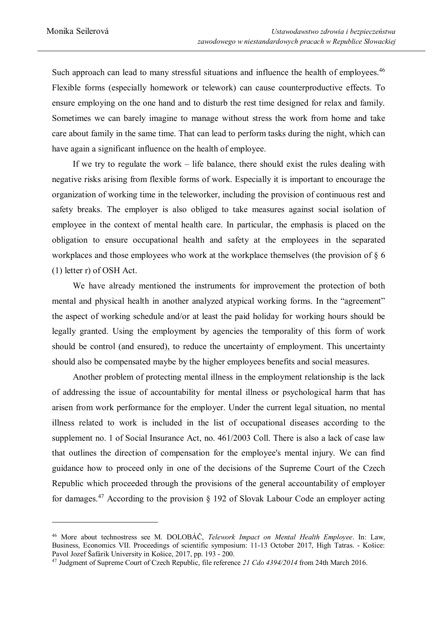Such approach can lead to many stressful situations and influence the health of employees.<sup>46</sup> Flexible forms (especially homework or telework) can cause counterproductive effects. To ensure employing on the one hand and to disturb the rest time designed for relax and family. Sometimes we can barely imagine to manage without stress the work from home and take care about family in the same time. That can lead to perform tasks during the night, which can have again a significant influence on the health of employee.

 If we try to regulate the work – life balance, there should exist the rules dealing with negative risks arising from flexible forms of work. Especially it is important to encourage the organization of working time in the teleworker, including the provision of continuous rest and safety breaks. The employer is also obliged to take measures against social isolation of employee in the context of mental health care. In particular, the emphasis is placed on the obligation to ensure occupational health and safety at the employees in the separated workplaces and those employees who work at the workplace themselves (the provision of  $\S$  6 (1) letter r) of OSH Act.

 We have already mentioned the instruments for improvement the protection of both mental and physical health in another analyzed atypical working forms. In the "agreement" the aspect of working schedule and/or at least the paid holiday for working hours should be legally granted. Using the employment by agencies the temporality of this form of work should be control (and ensured), to reduce the uncertainty of employment. This uncertainty should also be compensated maybe by the higher employees benefits and social measures.

Another problem of protecting mental illness in the employment relationship is the lack of addressing the issue of accountability for mental illness or psychological harm that has arisen from work performance for the employer. Under the current legal situation, no mental illness related to work is included in the list of occupational diseases according to the supplement no. 1 of Social Insurance Act, no. 461/2003 Coll. There is also a lack of case law that outlines the direction of compensation for the employee's mental injury. We can find guidance how to proceed only in one of the decisions of the Supreme Court of the Czech Republic which proceeded through the provisions of the general accountability of employer for damages.<sup>47</sup> According to the provision  $\S$  192 of Slovak Labour Code an employer acting

<sup>46</sup> More about technostress see M. DOLOBÁČ, *Telework Impact on Mental Health Employee*. In: Law, Business, Economics VII. Proceedings of scientific symposium: 11-13 October 2017, High Tatras. - Košice: Pavol Jozef Šafárik University in Košice, 2017, pp. 193 - 200.

<sup>47</sup> Judgment of Supreme Court of Czech Republic, file reference *21 Cdo 4394/2014* from 24th March 2016.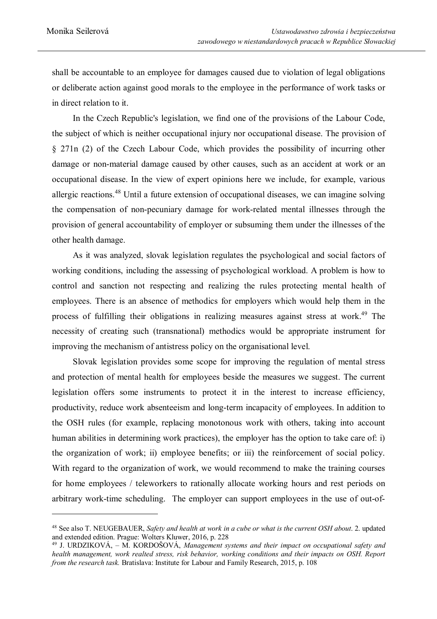shall be accountable to an employee for damages caused due to violation of legal obligations or deliberate action against good morals to the employee in the performance of work tasks or in direct relation to it.

 In the Czech Republic's legislation, we find one of the provisions of the Labour Code, the subject of which is neither occupational injury nor occupational disease. The provision of § 271n (2) of the Czech Labour Code, which provides the possibility of incurring other damage or non-material damage caused by other causes, such as an accident at work or an occupational disease. In the view of expert opinions here we include, for example, various allergic reactions.<sup>48</sup> Until a future extension of occupational diseases, we can imagine solving the compensation of non-pecuniary damage for work-related mental illnesses through the provision of general accountability of employer or subsuming them under the illnesses of the other health damage.

 As it was analyzed, slovak legislation regulates the psychological and social factors of working conditions, including the assessing of psychological workload. A problem is how to control and sanction not respecting and realizing the rules protecting mental health of employees. There is an absence of methodics for employers which would help them in the process of fulfilling their obligations in realizing measures against stress at work.<sup>49</sup> The necessity of creating such (transnational) methodics would be appropriate instrument for improving the mechanism of antistress policy on the organisational level.

Slovak legislation provides some scope for improving the regulation of mental stress and protection of mental health for employees beside the measures we suggest. The current legislation offers some instruments to protect it in the interest to increase efficiency, productivity, reduce work absenteeism and long-term incapacity of employees. In addition to the OSH rules (for example, replacing monotonous work with others, taking into account human abilities in determining work practices), the employer has the option to take care of: i) the organization of work; ii) employee benefits; or iii) the reinforcement of social policy. With regard to the organization of work, we would recommend to make the training courses for home employees / teleworkers to rationally allocate working hours and rest periods on arbitrary work-time scheduling. The employer can support employees in the use of out-of-

<sup>48</sup> See also T. NEUGEBAUER, *Safety and health at work in a cube or what is the current OSH about*. 2. updated and extended edition. Prague: Wolters Kluwer, 2016, p. 228

<sup>49</sup> J. URDZIKOVÁ, – M. KORDOŠOVÁ, *Management systems and their impact on occupational safety and health management, work realted stress, risk behavior, working conditions and their impacts on OSH. Report from the research task.* Bratislava: Institute for Labour and Family Research, 2015, p. 108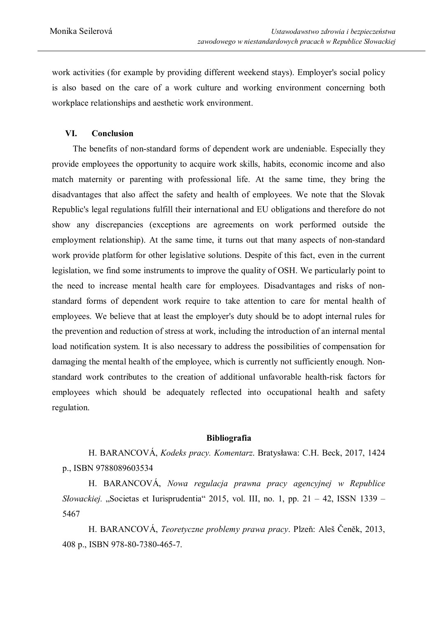work activities (for example by providing different weekend stays). Employer's social policy is also based on the care of a work culture and working environment concerning both workplace relationships and aesthetic work environment.

### **VI. Conclusion**

The benefits of non-standard forms of dependent work are undeniable. Especially they provide employees the opportunity to acquire work skills, habits, economic income and also match maternity or parenting with professional life. At the same time, they bring the disadvantages that also affect the safety and health of employees. We note that the Slovak Republic's legal regulations fulfill their international and EU obligations and therefore do not show any discrepancies (exceptions are agreements on work performed outside the employment relationship). At the same time, it turns out that many aspects of non-standard work provide platform for other legislative solutions. Despite of this fact, even in the current legislation, we find some instruments to improve the quality of OSH. We particularly point to the need to increase mental health care for employees. Disadvantages and risks of nonstandard forms of dependent work require to take attention to care for mental health of employees. We believe that at least the employer's duty should be to adopt internal rules for the prevention and reduction of stress at work, including the introduction of an internal mental load notification system. It is also necessary to address the possibilities of compensation for damaging the mental health of the employee, which is currently not sufficiently enough. Nonstandard work contributes to the creation of additional unfavorable health-risk factors for employees which should be adequately reflected into occupational health and safety regulation.

#### **Bibliografia**

H. BARANCOVÁ, *Kodeks pracy. Komentarz*. Bratysława: C.H. Beck, 2017, 1424 p., ISBN 9788089603534

H. BARANCOVÁ, *Nowa regulacja prawna pracy agencyjnej w Republice Słowackiej.* "Societas et Iurisprudentia" 2015, vol. III, no. 1, pp. 21 – 42, ISSN 1339 – 5467

H. BARANCOVÁ, *Teoretyczne problemy prawa pracy*. Plzeň: Aleš Čeněk, 2013, 408 p., ISBN 978-80-7380-465-7.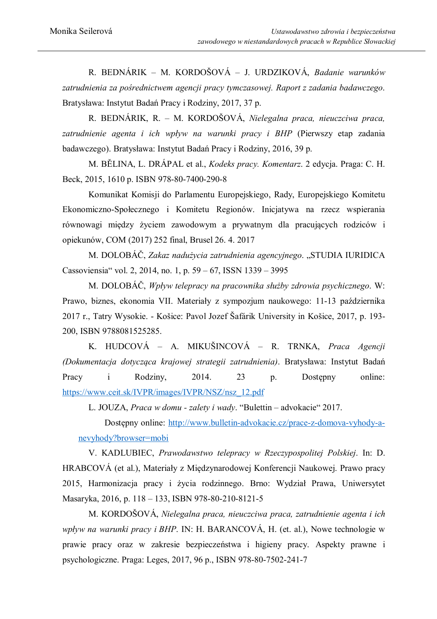R. BEDNÁRIK – M. KORDOŠOVÁ – J. URDZIKOVÁ, *Badanie warunków zatrudnienia za pośrednictwem agencji pracy tymczasowej. Raport z zadania badawczego*. Bratysława: Instytut Badań Pracy i Rodziny, 2017, 37 p.

R. BEDNÁRIK, R. – M. KORDOŠOVÁ, *Nielegalna praca, nieuczciwa praca, zatrudnienie agenta i ich wpływ na warunki pracy i BHP* (Pierwszy etap zadania badawczego). Bratysława: Instytut Badań Pracy i Rodziny, 2016, 39 p.

M. BĚLINA, L. DRÁPAL et al., *Kodeks pracy. Komentarz*. 2 edycja. Praga: C. H. Beck, 2015, 1610 p. ISBN 978-80-7400-290-8

Komunikat Komisji do Parlamentu Europejskiego, Rady, Europejskiego Komitetu Ekonomiczno-Społecznego i Komitetu Regionów. Inicjatywa na rzecz wspierania równowagi między życiem zawodowym a prywatnym dla pracujących rodziców i opiekunów, COM (2017) 252 final, Brusel 26. 4. 2017

M. DOLOBÁČ, *Zakaz nadużycia zatrudnienia agencyjnego*. "STUDIA IURIDICA Cassoviensia" vol. 2, 2014, no. 1, p. 59 – 67, ISSN 1339 – 3995

M. DOLOBÁČ, *Wpływ telepracy na pracownika służby zdrowia psychicznego*. W: Prawo, biznes, ekonomia VII. Materiały z sympozjum naukowego: 11-13 października 2017 r., Tatry Wysokie. - Košice: Pavol Jozef Šafárik University in Košice, 2017, p. 193- 200, ISBN 9788081525285.

K. HUDCOVÁ – A. MIKUŠINCOVÁ – R. TRNKA, *Praca Agencji (Dokumentacja dotycząca krajowej strategii zatrudnienia)*. Bratysława: Instytut Badań Pracy i Rodziny, 2014. 23 p. Dostępny online: https://www.ceit.sk/IVPR/images/IVPR/NSZ/nsz\_12.pdf

L. JOUZA, *Praca w domu - zalety i wady*. "Bulettin – advokacie" 2017.

Dostępny online: http://www.bulletin-advokacie.cz/prace-z-domova-vyhody-anevyhody?browser=mobi

V. KADLUBIEC, *Prawodawstwo telepracy w Rzeczypospolitej Polskiej*. In: D. HRABCOVÁ (et al.), Materiały z Międzynarodowej Konferencji Naukowej. Prawo pracy 2015, Harmonizacja pracy i życia rodzinnego. Brno: Wydział Prawa, Uniwersytet Masaryka, 2016, p. 118 – 133, ISBN 978-80-210-8121-5

M. KORDOŠOVÁ, *Nielegalna praca, nieuczciwa praca, zatrudnienie agenta i ich wpływ na warunki pracy i BHP*. IN: H. BARANCOVÁ, H. (et. al.), Nowe technologie w prawie pracy oraz w zakresie bezpieczeństwa i higieny pracy. Aspekty prawne i psychologiczne. Praga: Leges, 2017, 96 p., ISBN 978-80-7502-241-7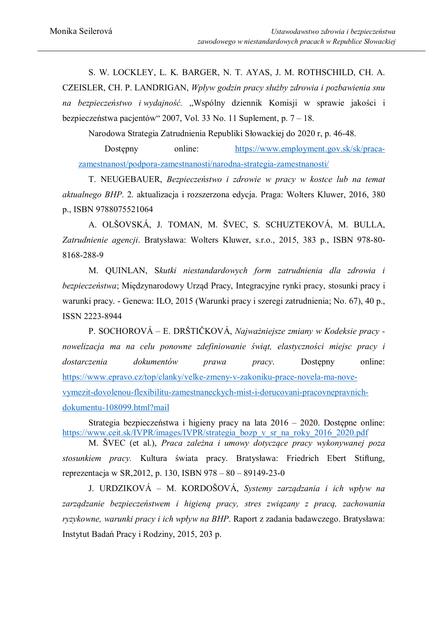S. W. LOCKLEY, L. K. BARGER, N. T. AYAS, J. M. ROTHSCHILD, CH. A. CZEISLER, CH. P. LANDRIGAN, *Wpływ godzin pracy służby zdrowia i pozbawienia snu na bezpieczeństwo i wydajność.* "Wspólny dziennik Komisji w sprawie jakości i bezpieczeństwa pacjentów" 2007, Vol. 33 No. 11 Suplement, p. 7 – 18.

Narodowa Strategia Zatrudnienia Republiki Słowackiej do 2020 r, p. 46-48.

Dostępny online: https://www.employment.gov.sk/sk/pracazamestnanost/podpora-zamestnanosti/narodna-strategia-zamestnanosti/

T. NEUGEBAUER, *Bezpieczeństwo i zdrowie w pracy w kostce lub na temat aktualnego BHP*. 2. aktualizacja i rozszerzona edycja. Praga: Wolters Kluwer, 2016, 380 p., ISBN 9788075521064

A. OLŠOVSKÁ, J. TOMAN, M. ŠVEC, S. SCHUZTEKOVÁ, M. BULLA, *Zatrudnienie agencji*. Bratysława: Wolters Kluwer, s.r.o., 2015, 383 p., ISBN 978-80- 8168-288-9

M. QUINLAN, S*kutki niestandardowych form zatrudnienia dla zdrowia i bezpieczeństwa*; Międzynarodowy Urząd Pracy, Integracyjne rynki pracy, stosunki pracy i warunki pracy. - Genewa: ILO, 2015 (Warunki pracy i szeregi zatrudnienia; No. 67), 40 p., ISSN 2223-8944

P. SOCHOROVÁ – E. DRŠTIČKOVÁ, *Najważniejsze zmiany w Kodeksie pracy nowelizacja ma na celu ponowne zdefiniowanie świąt, elastyczności miejsc pracy i dostarczenia dokumentów prawa pracy*. Dostępny online: https://www.epravo.cz/top/clanky/velke-zmeny-v-zakoniku-prace-novela-ma-novevymezit-dovolenou-flexibilitu-zamestnaneckych-mist-i-dorucovani-pracovnepravnichdokumentu-108099.html?mail

Strategia bezpieczeństwa i higieny pracy na lata 2016 – 2020. Dostępne online: https://www.ceit.sk/IVPR/images/IVPR/strategia\_bozp\_v\_sr\_na\_roky\_2016\_2020.pdf

M. ŠVEC (et al.), *Praca zależna i umowy dotyczące pracy wykonywanej poza stosunkiem pracy.* Kultura świata pracy. Bratysława: Friedrich Ebert Stiftung, reprezentacja w SR,2012, p. 130, ISBN 978 – 80 – 89149-23-0

J. URDZIKOVÁ – M. KORDOŠOVÁ, *Systemy zarządzania i ich wpływ na zarządzanie bezpieczeństwem i higieną pracy, stres związany z pracą, zachowania ryzykowne, warunki pracy i ich wpływ na BHP*. Raport z zadania badawczego. Bratysława: Instytut Badań Pracy i Rodziny, 2015, 203 p.